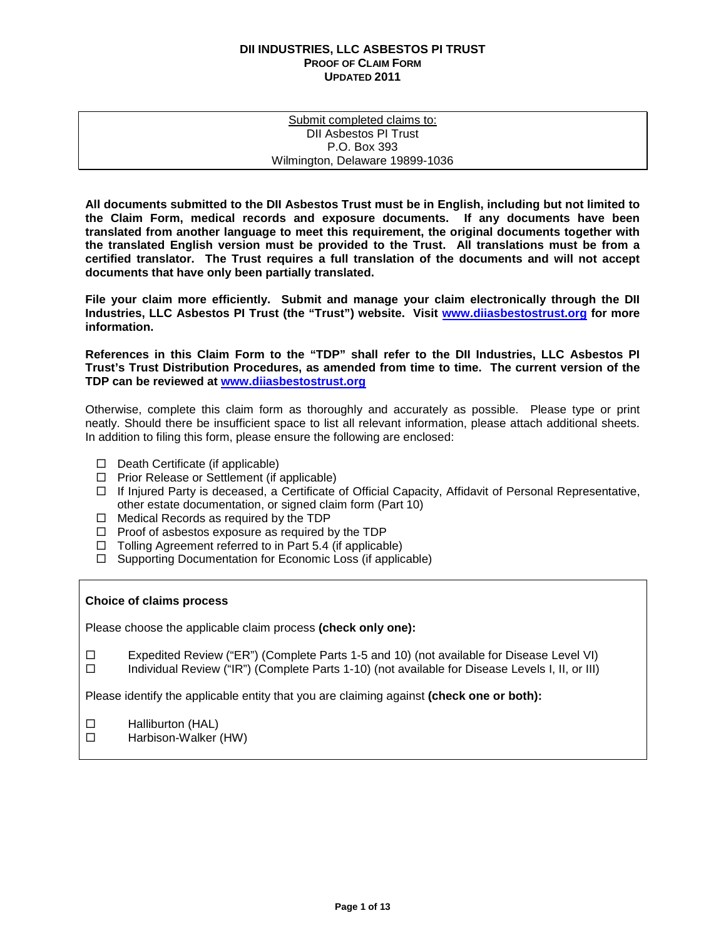| Submit completed claims to:     |  |
|---------------------------------|--|
| DII Asbestos PI Trust           |  |
| P.O. Box 393                    |  |
| Wilmington, Delaware 19899-1036 |  |

**All documents submitted to the DII Asbestos Trust must be in English, including but not limited to the Claim Form, medical records and exposure documents. If any documents have been translated from another language to meet this requirement, the original documents together with the translated English version must be provided to the Trust. All translations must be from a certified translator. The Trust requires a full translation of the documents and will not accept documents that have only been partially translated.** 

**File your claim more efficiently. Submit and manage your claim electronically through the DII Industries, LLC Asbestos PI Trust (the "Trust") website. Visit [www.diiasbestostrust.org](http://www.diiasbestostrust.org/) for more information.**

**References in this Claim Form to the "TDP" shall refer to the DII Industries, LLC Asbestos PI Trust's Trust Distribution Procedures, as amended from time to time. The current version of the TDP can be reviewed at [www.diiasbestostrust.org](http://www.diiasbestostrust.org/)**

Otherwise, complete this claim form as thoroughly and accurately as possible. Please type or print neatly. Should there be insufficient space to list all relevant information, please attach additional sheets. In addition to filing this form, please ensure the following are enclosed:

- $\Box$  Death Certificate (if applicable)
- $\Box$  Prior Release or Settlement (if applicable)
- $\Box$  If Injured Party is deceased, a Certificate of Official Capacity, Affidavit of Personal Representative, other estate documentation, or signed claim form (Part 10)
- $\Box$  Medical Records as required by the TDP
- $\Box$  Proof of asbestos exposure as required by the TDP
- $\Box$  Tolling Agreement referred to in Part 5.4 (if applicable)
- $\Box$  Supporting Documentation for Economic Loss (if applicable)

# **Choice of claims process**

Please choose the applicable claim process **(check only one):**

Expedited Review ("ER") (Complete Parts 1-5 and 10) (not available for Disease Level VI)

 $\square$  Individual Review ("IR") (Complete Parts 1-10) (not available for Disease Levels I, II, or III)

Please identify the applicable entity that you are claiming against **(check one or both):**

- □ Halliburton (HAL)
- □ Harbison-Walker (HW)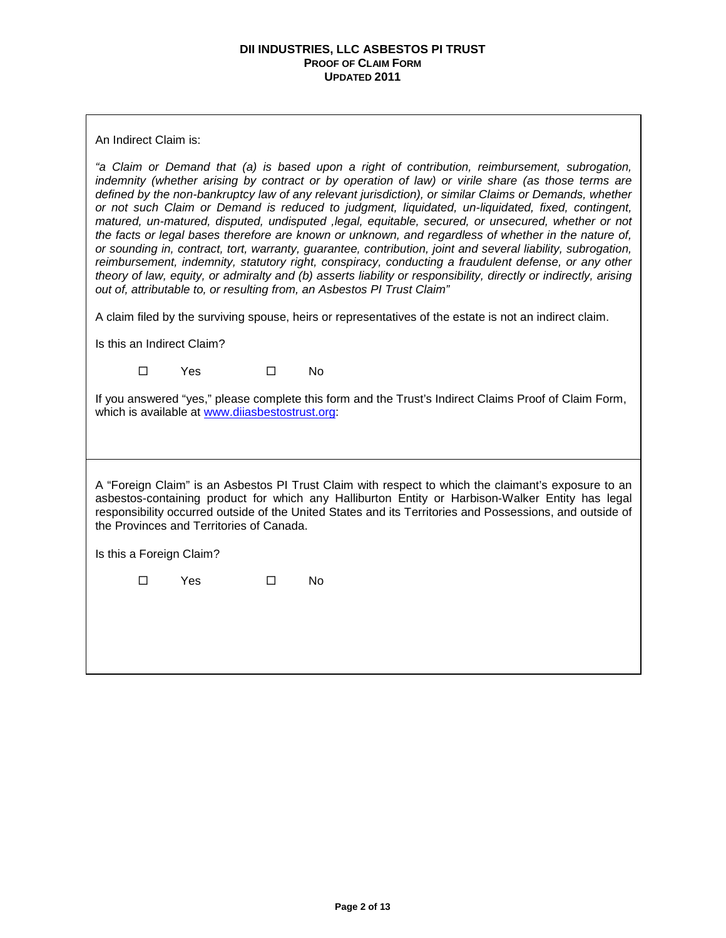An Indirect Claim is:

*"a Claim or Demand that (a) is based upon a right of contribution, reimbursement, subrogation, indemnity (whether arising by contract or by operation of law) or virile share (as those terms are defined by the non-bankruptcy law of any relevant jurisdiction), or similar Claims or Demands, whether or not such Claim or Demand is reduced to judgment, liquidated, un-liquidated, fixed, contingent, matured, un-matured, disputed, undisputed ,legal, equitable, secured, or unsecured, whether or not the facts or legal bases therefore are known or unknown, and regardless of whether in the nature of, or sounding in, contract, tort, warranty, guarantee, contribution, joint and several liability, subrogation, reimbursement, indemnity, statutory right, conspiracy, conducting a fraudulent defense, or any other theory of law, equity, or admiralty and (b) asserts liability or responsibility, directly or indirectly, arising out of, attributable to, or resulting from, an Asbestos PI Trust Claim"*

A claim filed by the surviving spouse, heirs or representatives of the estate is not an indirect claim.

Is this an Indirect Claim?

 $\square$  Yes  $\square$  No

If you answered "yes," please complete this form and the Trust's Indirect Claims Proof of Claim Form, which is available at [www.diiasbestostrust.org:](http://www.diiasbestostrust.org/)

A "Foreign Claim" is an Asbestos PI Trust Claim with respect to which the claimant's exposure to an asbestos-containing product for which any Halliburton Entity or Harbison-Walker Entity has legal responsibility occurred outside of the United States and its Territories and Possessions, and outside of the Provinces and Territories of Canada.

Is this a Foreign Claim?

 $\square$  Yes  $\square$  No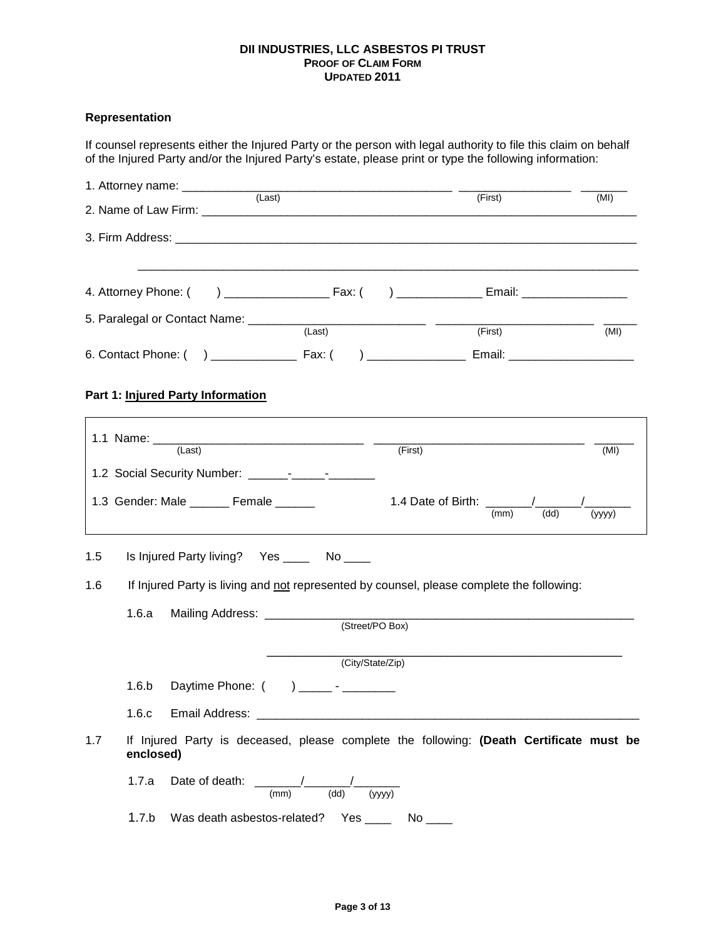# **Representation**

| If counsel represents either the Injured Party or the person with legal authority to file this claim on behalf<br>of the Injured Party and/or the Injured Party's estate, please print or type the following information: |                                          |        |  |  |
|---------------------------------------------------------------------------------------------------------------------------------------------------------------------------------------------------------------------------|------------------------------------------|--------|--|--|
|                                                                                                                                                                                                                           |                                          | (MI)   |  |  |
| (First)                                                                                                                                                                                                                   |                                          |        |  |  |
|                                                                                                                                                                                                                           |                                          |        |  |  |
| 4. Attorney Phone: (                                                                                                                                                                                                      |                                          |        |  |  |
|                                                                                                                                                                                                                           | (First)                                  | (MI)   |  |  |
|                                                                                                                                                                                                                           |                                          |        |  |  |
| Part 1: Injured Party Information                                                                                                                                                                                         |                                          |        |  |  |
| (Last)                                                                                                                                                                                                                    | (First)                                  | (MI)   |  |  |
|                                                                                                                                                                                                                           |                                          |        |  |  |
| 1.3 Gender: Male _______ Female ______                                                                                                                                                                                    | 1.4 Date of Birth: $\frac{1}{(mm)}$ (dd) | (yyyy) |  |  |
| 1.5<br>Is Injured Party living? Yes ______ No _____                                                                                                                                                                       |                                          |        |  |  |
| 1.6<br>If Injured Party is living and not represented by counsel, please complete the following:                                                                                                                          |                                          |        |  |  |
| 1.6.a<br>Mailing Address: ____________<br>(Street/PO Box)                                                                                                                                                                 |                                          |        |  |  |
|                                                                                                                                                                                                                           | (City/State/Zip)                         |        |  |  |
| Daytime Phone: () ________- - _________<br>1.6.b                                                                                                                                                                          |                                          |        |  |  |
| 1.6.c                                                                                                                                                                                                                     |                                          |        |  |  |
| 1.7<br>If Injured Party is deceased, please complete the following: (Death Certificate must be<br>enclosed)                                                                                                               |                                          |        |  |  |
| 1.7.a<br>Date of death: $\frac{1}{(mm)}$ $\frac{1}{(dd)}$ $\frac{1}{(yyyy)}$                                                                                                                                              |                                          |        |  |  |
| 1.7.b<br>Was death asbestos-related?  Yes _______  No _____                                                                                                                                                               |                                          |        |  |  |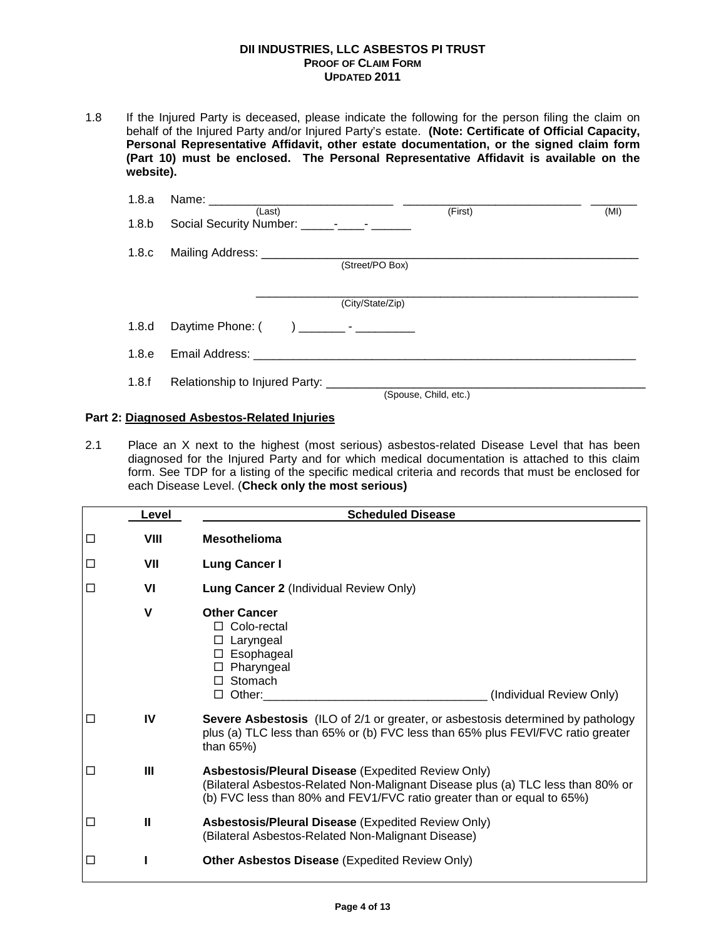1.8 If the Injured Party is deceased, please indicate the following for the person filing the claim on behalf of the Injured Party and/or Injured Party's estate. **(Note: Certificate of Official Capacity, Personal Representative Affidavit, other estate documentation, or the signed claim form (Part 10) must be enclosed. The Personal Representative Affidavit is available on the website).**

| 1.8.a            |                                                  |                  |                       |      |
|------------------|--------------------------------------------------|------------------|-----------------------|------|
| 1.8 <sub>b</sub> | (Last)                                           |                  | (First)               | (MI) |
| 1.8.c            | Mailing Address: ___________________________     | (Street/PO Box)  |                       |      |
|                  |                                                  | (City/State/Zip) |                       |      |
| 1.8.d            |                                                  |                  |                       |      |
| 1.8.e            |                                                  |                  |                       |      |
| 1.8.f            | Relationship to Injured Party: _________________ |                  | (Spouse, Child, etc.) |      |

# **Part 2: Diagnosed Asbestos-Related Injuries**

2.1 Place an X next to the highest (most serious) asbestos-related Disease Level that has been diagnosed for the Injured Party and for which medical documentation is attached to this claim form. See TDP for a listing of the specific medical criteria and records that must be enclosed for each Disease Level. (**Check only the most serious)**

|   | Level       | <b>Scheduled Disease</b>                                                                                                                                                                                               |  |  |
|---|-------------|------------------------------------------------------------------------------------------------------------------------------------------------------------------------------------------------------------------------|--|--|
| □ | VIII        | <b>Mesothelioma</b>                                                                                                                                                                                                    |  |  |
| □ | VII         | <b>Lung Cancer I</b>                                                                                                                                                                                                   |  |  |
| □ | VI          | <b>Lung Cancer 2 (Individual Review Only)</b>                                                                                                                                                                          |  |  |
|   | $\mathbf v$ | <b>Other Cancer</b><br>□ Colo-rectal<br>Laryngeal<br>⊔<br>Esophageal<br>$\Box$<br>Pharyngeal<br>□<br>$\Box$ Stomach<br>$\Box$ Other:<br>(Individual Review Only)                                                       |  |  |
| □ | IV          | <b>Severe Asbestosis</b> (ILO of 2/1 or greater, or asbestosis determined by pathology<br>plus (a) TLC less than 65% or (b) FVC less than 65% plus FEVI/FVC ratio greater<br>than 65%)                                 |  |  |
| □ | Ш           | <b>Asbestosis/Pleural Disease (Expedited Review Only)</b><br>(Bilateral Asbestos-Related Non-Malignant Disease plus (a) TLC less than 80% or<br>(b) FVC less than 80% and FEV1/FVC ratio greater than or equal to 65%) |  |  |
| □ | Ш           | <b>Asbestosis/Pleural Disease (Expedited Review Only)</b><br>(Bilateral Asbestos-Related Non-Malignant Disease)                                                                                                        |  |  |
| □ |             | <b>Other Asbestos Disease (Expedited Review Only)</b>                                                                                                                                                                  |  |  |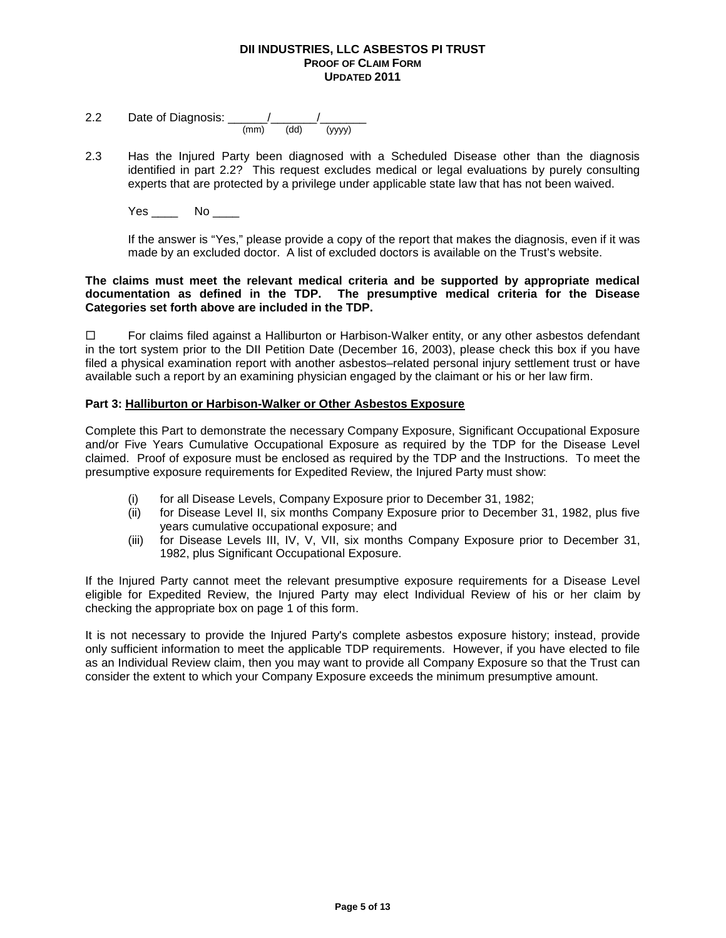- 2.2 Date of Diagnosis: \_\_\_\_\_\_/\_\_\_\_\_\_\_/\_\_\_\_\_\_\_ (mm) (dd) (yyyy)
- 2.3 Has the Injured Party been diagnosed with a Scheduled Disease other than the diagnosis identified in part 2.2? This request excludes medical or legal evaluations by purely consulting experts that are protected by a privilege under applicable state law that has not been waived.
	- Yes \_\_\_\_ No \_\_\_\_

If the answer is "Yes," please provide a copy of the report that makes the diagnosis, even if it was made by an excluded doctor. A list of excluded doctors is available on the Trust's website.

# **The claims must meet the relevant medical criteria and be supported by appropriate medical documentation as defined in the TDP. The presumptive medical criteria for the Disease Categories set forth above are included in the TDP.**

 $\Box$  For claims filed against a Halliburton or Harbison-Walker entity, or any other asbestos defendant in the tort system prior to the DII Petition Date (December 16, 2003), please check this box if you have filed a physical examination report with another asbestos–related personal injury settlement trust or have available such a report by an examining physician engaged by the claimant or his or her law firm.

# **Part 3: Halliburton or Harbison-Walker or Other Asbestos Exposure**

Complete this Part to demonstrate the necessary Company Exposure, Significant Occupational Exposure and/or Five Years Cumulative Occupational Exposure as required by the TDP for the Disease Level claimed. Proof of exposure must be enclosed as required by the TDP and the Instructions. To meet the presumptive exposure requirements for Expedited Review, the Injured Party must show:

- (i) for all Disease Levels, Company Exposure prior to December 31, 1982;
- (ii) for Disease Level II, six months Company Exposure prior to December 31, 1982, plus five years cumulative occupational exposure; and
- (iii) for Disease Levels III, IV, V, VII, six months Company Exposure prior to December 31, 1982, plus Significant Occupational Exposure.

If the Injured Party cannot meet the relevant presumptive exposure requirements for a Disease Level eligible for Expedited Review, the Injured Party may elect Individual Review of his or her claim by checking the appropriate box on page 1 of this form.

It is not necessary to provide the Injured Party's complete asbestos exposure history; instead, provide only sufficient information to meet the applicable TDP requirements. However, if you have elected to file as an Individual Review claim, then you may want to provide all Company Exposure so that the Trust can consider the extent to which your Company Exposure exceeds the minimum presumptive amount.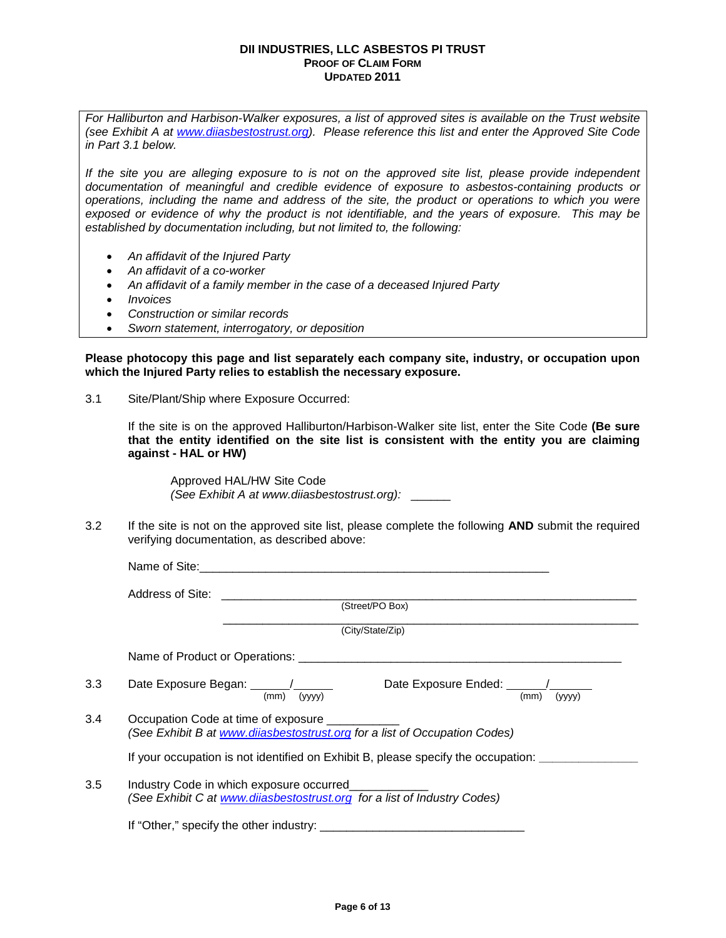*For Halliburton and Harbison-Walker exposures, a list of approved sites is available on the Trust website (see Exhibit A at [www.diiasbestostrust.org\)](http://www.diiasbestostrust.org/). Please reference this list and enter the Approved Site Code in Part 3.1 below.* 

*If the site you are alleging exposure to is not on the approved site list, please provide independent documentation of meaningful and credible evidence of exposure to asbestos-containing products or operations, including the name and address of the site, the product or operations to which you were exposed or evidence of why the product is not identifiable, and the years of exposure. This may be established by documentation including, but not limited to, the following:*

- *An affidavit of the Injured Party*
- *An affidavit of a co-worker*
- *An affidavit of a family member in the case of a deceased Injured Party*
- *Invoices*
- *Construction or similar records*
- *Sworn statement, interrogatory, or deposition*

**Please photocopy this page and list separately each company site, industry, or occupation upon which the Injured Party relies to establish the necessary exposure.** 

3.1 Site/Plant/Ship where Exposure Occurred:

If the site is on the approved Halliburton/Harbison-Walker site list, enter the Site Code **(Be sure that the entity identified on the site list is consistent with the entity you are claiming against - HAL or HW)**

Approved HAL/HW Site Code *(See Exhibit A at www.diiasbestostrust.org):* \_\_\_\_\_\_

3.2 If the site is not on the approved site list, please complete the following **AND** submit the required verifying documentation, as described above:

|     | (Street/PO Box)                                                                                                             |
|-----|-----------------------------------------------------------------------------------------------------------------------------|
|     | (City/State/Zip)                                                                                                            |
|     |                                                                                                                             |
| 3.3 | Date Exposure Began: $\frac{1}{(mm)}$ $\frac{1}{(yyyy)}$<br>Date Exposure Ended: $\frac{1}{(mm)}$ $\frac{1}{(yyy)}$         |
| 3.4 | Occupation Code at time of exposure _________<br>(See Exhibit B at www.dijasbestostrust.org for a list of Occupation Codes) |
|     | If your occupation is not identified on Exhibit B, please specify the occupation:                                           |
| 3.5 | Industry Code in which exposure occurred<br>(See Exhibit C at www.dijasbestostrust.org for a list of Industry Codes)        |
|     |                                                                                                                             |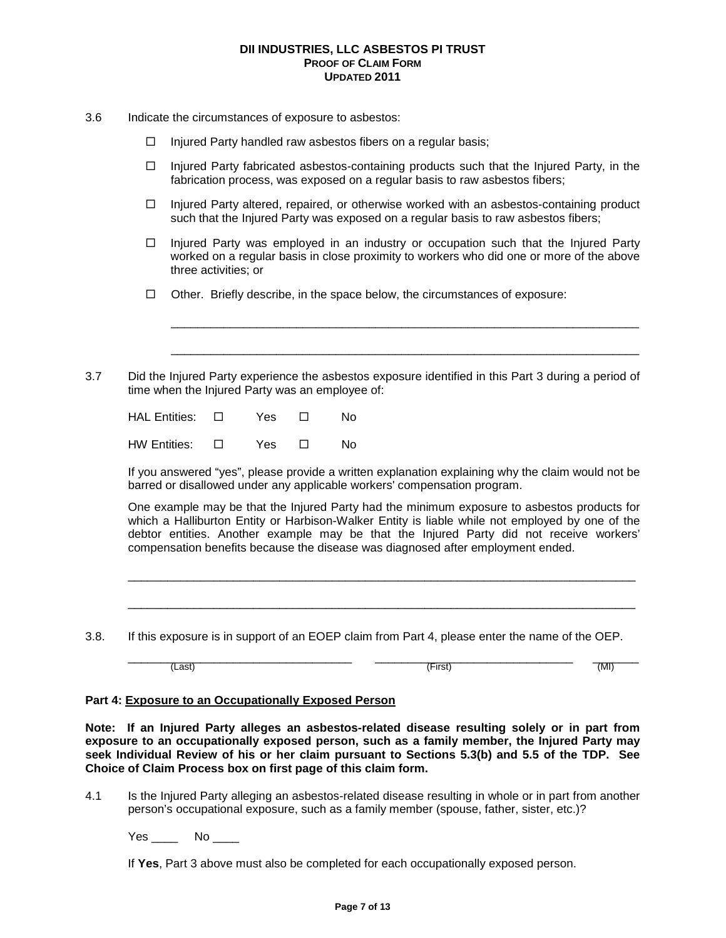- 3.6 Indicate the circumstances of exposure to asbestos:
	- $\Box$  Injured Party handled raw asbestos fibers on a regular basis;
	- $\Box$  Injured Party fabricated asbestos-containing products such that the Injured Party, in the fabrication process, was exposed on a regular basis to raw asbestos fibers;
	- $\Box$  Injured Party altered, repaired, or otherwise worked with an asbestos-containing product such that the Injured Party was exposed on a regular basis to raw asbestos fibers;
	- $\Box$  Injured Party was employed in an industry or occupation such that the Injured Party worked on a regular basis in close proximity to workers who did one or more of the above three activities; or

\_\_\_\_\_\_\_\_\_\_\_\_\_\_\_\_\_\_\_\_\_\_\_\_\_\_\_\_\_\_\_\_\_\_\_\_\_\_\_\_\_\_\_\_\_\_\_\_\_\_\_\_\_\_\_\_\_\_\_\_\_\_\_\_\_\_\_\_\_\_\_

\_\_\_\_\_\_\_\_\_\_\_\_\_\_\_\_\_\_\_\_\_\_\_\_\_\_\_\_\_\_\_\_\_\_\_\_\_\_\_\_\_\_\_\_\_\_\_\_\_\_\_\_\_\_\_\_\_\_\_\_\_\_\_\_\_\_\_\_\_\_\_

- $\Box$  Other. Briefly describe, in the space below, the circumstances of exposure:
- 3.7 Did the Injured Party experience the asbestos exposure identified in this Part 3 during a period of time when the Injured Party was an employee of:

| HAL Entities: □ | Yes | $\Box$ | N٥ |
|-----------------|-----|--------|----|
| HW Entities: □  | Yes | $\Box$ | N٥ |

If you answered "yes", please provide a written explanation explaining why the claim would not be barred or disallowed under any applicable workers' compensation program.

One example may be that the Injured Party had the minimum exposure to asbestos products for which a Halliburton Entity or Harbison-Walker Entity is liable while not employed by one of the debtor entities. Another example may be that the Injured Party did not receive workers' compensation benefits because the disease was diagnosed after employment ended.

\_\_\_\_\_\_\_\_\_\_\_\_\_\_\_\_\_\_\_\_\_\_\_\_\_\_\_\_\_\_\_\_\_\_\_\_\_\_\_\_\_\_\_\_\_\_\_\_\_\_\_\_\_\_\_\_\_\_\_\_\_\_\_\_\_\_\_\_\_\_\_\_\_\_\_\_\_

\_\_\_\_\_\_\_\_\_\_\_\_\_\_\_\_\_\_\_\_\_\_\_\_\_\_\_\_\_\_\_\_\_\_\_\_\_\_\_\_\_\_\_\_\_\_\_\_\_\_\_\_\_\_\_\_\_\_\_\_\_\_\_\_\_\_\_\_\_\_\_\_\_\_\_\_\_

 $(Last)$   $\overline{\hspace{1cm}}$   $(-kast)$   $(\overline{\hspace{1cm}}\hspace{1cm} (k))$   $(\overline{\hspace{1cm}}\hspace{1cm} (k))$   $(\overline{\hspace{1cm}}\hspace{1cm} (k))$ 

3.8. If this exposure is in support of an EOEP claim from Part 4, please enter the name of the OEP.

# **Part 4: Exposure to an Occupationally Exposed Person**

**Note: If an Injured Party alleges an asbestos-related disease resulting solely or in part from exposure to an occupationally exposed person, such as a family member, the Injured Party may seek Individual Review of his or her claim pursuant to Sections 5.3(b) and 5.5 of the TDP. See Choice of Claim Process box on first page of this claim form.** 

4.1 Is the Injured Party alleging an asbestos-related disease resulting in whole or in part from another person's occupational exposure, such as a family member (spouse, father, sister, etc.)?

Yes \_\_\_\_\_ No \_\_\_\_

If **Yes**, Part 3 above must also be completed for each occupationally exposed person.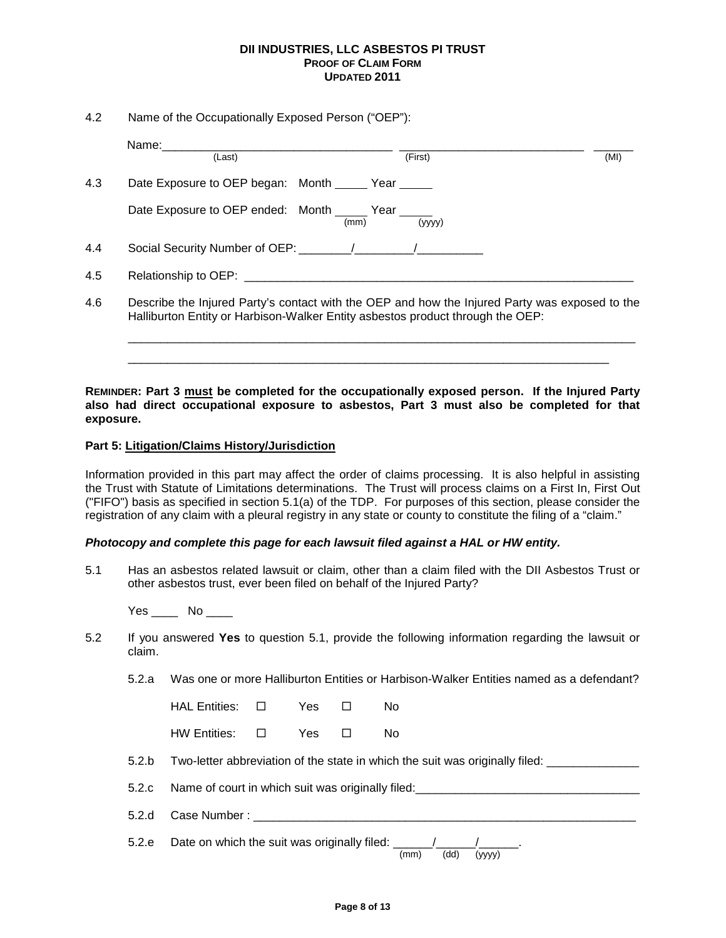4.2 Name of the Occupationally Exposed Person ("OEP"):

|     | Name:_________<br>(Last)                                                                                                                                                                                                       | (First)                                                                                                                                                                          | (MI) |
|-----|--------------------------------------------------------------------------------------------------------------------------------------------------------------------------------------------------------------------------------|----------------------------------------------------------------------------------------------------------------------------------------------------------------------------------|------|
| 4.3 | Date Exposure to OEP began: Month Year                                                                                                                                                                                         |                                                                                                                                                                                  |      |
|     | Date Exposure to OEP ended: Month _____ Year _____                                                                                                                                                                             | (yyyy)<br>(mm)                                                                                                                                                                   |      |
| 4.4 |                                                                                                                                                                                                                                |                                                                                                                                                                                  |      |
| 4.5 | Relationship to OEP: the contract of the contract of the contract of the contract of the contract of the contract of the contract of the contract of the contract of the contract of the contract of the contract of the contr |                                                                                                                                                                                  |      |
| 4.6 |                                                                                                                                                                                                                                | Describe the Injured Party's contact with the OEP and how the Injured Party was exposed to the<br>Halliburton Entity or Harbison-Walker Entity asbestos product through the OEP: |      |

**REMINDER: Part 3 must be completed for the occupationally exposed person. If the Injured Party also had direct occupational exposure to asbestos, Part 3 must also be completed for that exposure.** 

\_\_\_\_\_\_\_\_\_\_\_\_\_\_\_\_\_\_\_\_\_\_\_\_\_\_\_\_\_\_\_\_\_\_\_\_\_\_\_\_\_\_\_\_\_\_\_\_\_\_\_\_\_\_\_\_\_\_\_\_\_\_\_\_\_\_\_\_\_\_\_\_\_

# **Part 5: Litigation/Claims History/Jurisdiction**

Information provided in this part may affect the order of claims processing. It is also helpful in assisting the Trust with Statute of Limitations determinations. The Trust will process claims on a First In, First Out ("FIFO") basis as specified in section 5.1(a) of the TDP. For purposes of this section, please consider the registration of any claim with a pleural registry in any state or county to constitute the filing of a "claim."

#### *Photocopy and complete this page for each lawsuit filed against a HAL or HW entity.*

5.1 Has an asbestos related lawsuit or claim, other than a claim filed with the DII Asbestos Trust or other asbestos trust, ever been filed on behalf of the Injured Party?

Yes No

- 5.2 If you answered **Yes** to question 5.1, provide the following information regarding the lawsuit or claim.
	- 5.2.a Was one or more Halliburton Entities or Harbison-Walker Entities named as a defendant?

| $HAL$ Entities: $\Box$ | Yes | $\Box$ | N٥ |
|------------------------|-----|--------|----|
| $HW$ Entities: $\Box$  | Yes | $\Box$ | N٥ |

5.2.b Two-letter abbreviation of the state in which the suit was originally filed: \_\_\_\_\_\_\_\_\_\_\_\_\_\_\_\_

5.2.c Name of court in which suit was originally filed:

5.2.d Case Number :

5.2.e Date on which the suit was originally filed:  $\frac{1}{(mm)}$   $\frac{1}{(dd)}$  (yyyy)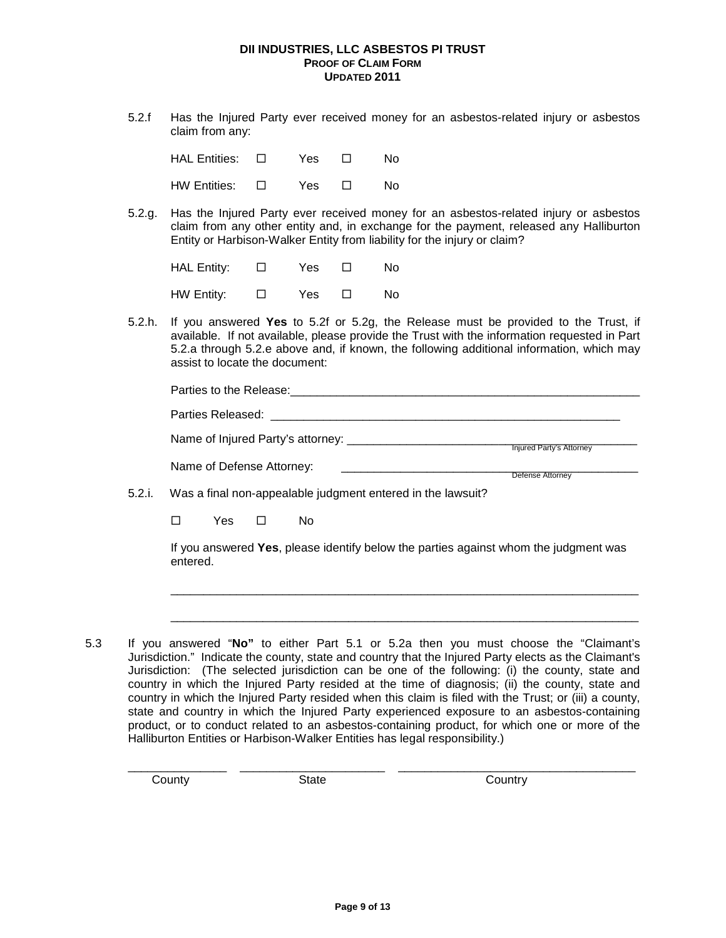5.2.f Has the Injured Party ever received money for an asbestos-related injury or asbestos claim from any:

| $HAL$ Entities: $\Box$ | Yes | $\perp$ | N٥ |
|------------------------|-----|---------|----|
| $HW$ Entities: $\Box$  | Yes | $\perp$ | Nο |

5.2.g. Has the Injured Party ever received money for an asbestos-related injury or asbestos claim from any other entity and, in exchange for the payment, released any Halliburton Entity or Harbison-Walker Entity from liability for the injury or claim?

HAL Entity:  $\Box$  Yes  $\Box$  No HW Entity:  $\Box$  Yes  $\Box$  No

5.2.h. If you answered **Yes** to 5.2f or 5.2g, the Release must be provided to the Trust, if available. If not available, please provide the Trust with the information requested in Part 5.2.a through 5.2.e above and, if known, the following additional information, which may assist to locate the document:

|        | Parties to the Release:                                     |                                 |
|--------|-------------------------------------------------------------|---------------------------------|
|        | Parties Released:                                           |                                 |
|        | Name of Injured Party's attorney:                           | <b>Injured Party's Attorney</b> |
|        | Name of Defense Attorney:                                   | Defense Attorney                |
| 5.2.i. | Was a final non-appealable judgment entered in the lawsuit? |                                 |
|        |                                                             |                                 |

□ Yes □ No

If you answered **Yes**, please identify below the parties against whom the judgment was entered.

\_\_\_\_\_\_\_\_\_\_\_\_\_\_\_\_\_\_\_\_\_\_\_\_\_\_\_\_\_\_\_\_\_\_\_\_\_\_\_\_\_\_\_\_\_\_\_\_\_\_\_\_\_\_\_\_\_\_\_\_\_\_\_\_\_\_\_\_\_\_\_

\_\_\_\_\_\_\_\_\_\_\_\_\_\_\_\_\_\_\_\_\_\_\_\_\_\_\_\_\_\_\_\_\_\_\_\_\_\_\_\_\_\_\_\_\_\_\_\_\_\_\_\_\_\_\_\_\_\_\_\_\_\_\_\_\_\_\_\_\_\_\_

5.3 If you answered "**No"** to either Part 5.1 or 5.2a then you must choose the "Claimant's Jurisdiction." Indicate the county, state and country that the Injured Party elects as the Claimant's Jurisdiction: (The selected jurisdiction can be one of the following: (i) the county, state and country in which the Injured Party resided at the time of diagnosis; (ii) the county, state and country in which the Injured Party resided when this claim is filed with the Trust; or (iii) a county, state and country in which the Injured Party experienced exposure to an asbestos-containing product, or to conduct related to an asbestos-containing product, for which one or more of the Halliburton Entities or Harbison-Walker Entities has legal responsibility.)

\_\_\_\_\_\_\_\_\_\_\_\_\_\_\_ \_\_\_\_\_\_\_\_\_\_\_\_\_\_\_\_\_\_\_\_\_\_ \_\_\_\_\_\_\_\_\_\_\_\_\_\_\_\_\_\_\_\_\_\_\_\_\_\_\_\_\_\_\_\_\_\_\_\_ County **State** State Country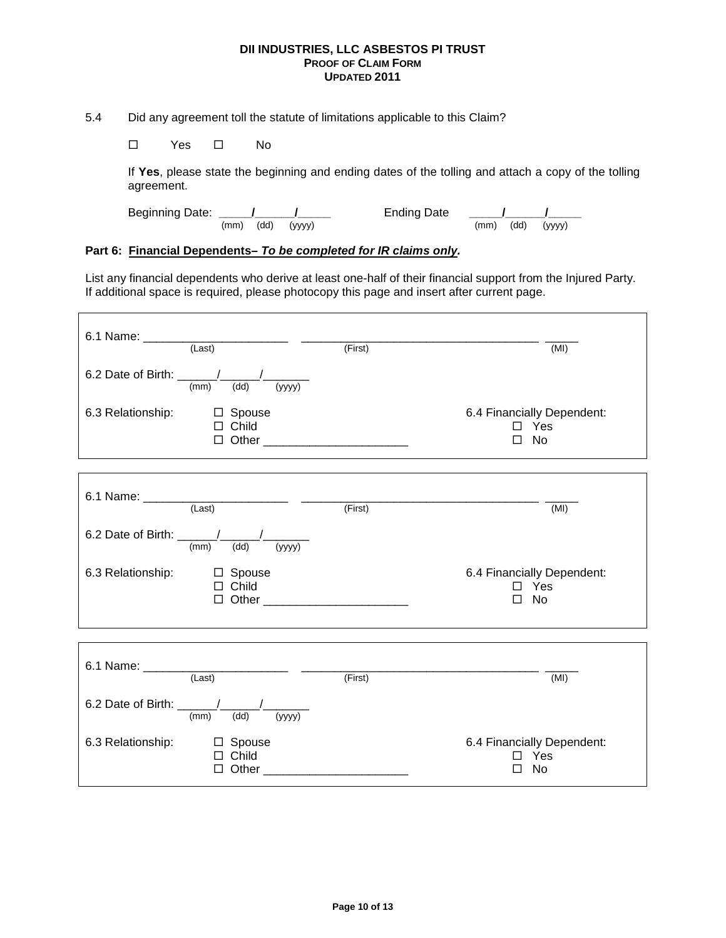5.4 Did any agreement toll the statute of limitations applicable to this Claim?

 $\square$  Yes  $\square$  No

If **Yes**, please state the beginning and ending dates of the tolling and attach a copy of the tolling agreement.

Beginning Date: **\_\_\_\_\_/\_\_\_\_\_\_/\_\_\_\_\_** Ending Date **\_\_\_\_\_/\_\_\_\_\_\_/\_\_\_\_\_** (mm) (dd) (yyyy) (mm) (dd) (yyyy)

# **Part 6: Financial Dependents–** *To be completed for IR claims only.*

List any financial dependents who derive at least one-half of their financial support from the Injured Party. If additional space is required, please photocopy this page and insert after current page.

|                                                      |                                                 | (First) | (MI)                                                     |
|------------------------------------------------------|-------------------------------------------------|---------|----------------------------------------------------------|
| 6.2 Date of Birth: $\frac{1}{(mm)}$ $\frac{1}{(dd)}$ | $\frac{1}{(yyyy)}$                              |         |                                                          |
| 6.3 Relationship:                                    | □ Spouse<br>$\Box$ Child                        |         | 6.4 Financially Dependent:<br>$\Box$ Yes<br>$\square$ No |
|                                                      |                                                 |         | (MI)                                                     |
| 6.2 Date of Birth: $\frac{1}{(mm)}$ $\frac{1}{(dd)}$ | $\frac{1}{(yyyy)}$                              |         |                                                          |
| 6.3 Relationship:                                    | □ Spouse<br>$\Box$ Child                        |         | 6.4 Financially Dependent:<br>$\square$ Yes<br>No<br>П   |
|                                                      |                                                 |         |                                                          |
|                                                      | 6.1 Name: $\frac{1}{\text{(Last)}}$ (Last)      | (First) | (MI)                                                     |
| 6.2 Date of Birth: $\frac{1}{(mm)}$                  | (yyyy)<br>(dd)                                  |         |                                                          |
| 6.3 Relationship:                                    | □ Spouse<br>$\Box$ Child<br>$\Box$ Other $\Box$ |         | 6.4 Financially Dependent:<br>Yes<br>No                  |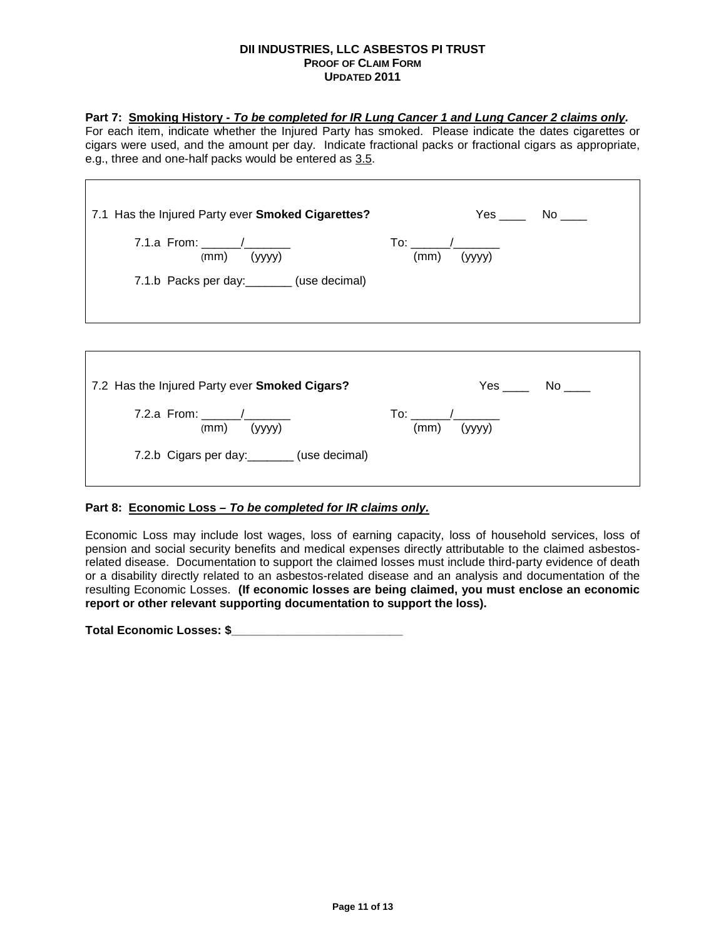# **Part 7: Smoking History -** *To be completed for IR Lung Cancer 1 and Lung Cancer 2 claims only.*

For each item, indicate whether the Injured Party has smoked. Please indicate the dates cigarettes or cigars were used, and the amount per day. Indicate fractional packs or fractional cigars as appropriate, e.g., three and one-half packs would be entered as 3.5.

┑

| 7.1 Has the Injured Party ever Smoked Cigarettes?<br>7.1.a From: $\frac{1}{\sqrt{1-\frac{1}{2}}}\$<br>$(mm)$ (yyyy)<br>7.1.b Packs per day: ________ (use decimal) | $Yes$ No $\_\_$<br>$(mm)$ (yyyy)                        |
|--------------------------------------------------------------------------------------------------------------------------------------------------------------------|---------------------------------------------------------|
|                                                                                                                                                                    |                                                         |
| 7.2 Has the Injured Party ever Smoked Cigars?                                                                                                                      | Yes No                                                  |
| 7.2.a From: $\frac{1}{2}$ /                                                                                                                                        | $\mathsf{To:}\qquad\qquad\mathcal{A}\qquad\qquad\qquad$ |

| 7.2.a From: $\sqrt{ }$<br>(mm)<br>(yyyy)     | To:<br>(yyyy)<br>(mm) |  |
|----------------------------------------------|-----------------------|--|
| 7.2.b Cigars per day: ________ (use decimal) |                       |  |

# **Part 8: Economic Loss** *– To be completed for IR claims only.*

Г

Economic Loss may include lost wages, loss of earning capacity, loss of household services, loss of pension and social security benefits and medical expenses directly attributable to the claimed asbestosrelated disease. Documentation to support the claimed losses must include third-party evidence of death or a disability directly related to an asbestos-related disease and an analysis and documentation of the resulting Economic Losses. **(If economic losses are being claimed, you must enclose an economic report or other relevant supporting documentation to support the loss).** 

**Total Economic Losses: \$\_\_\_\_\_\_\_\_\_\_\_\_\_\_\_\_\_\_\_\_\_\_\_\_\_\_**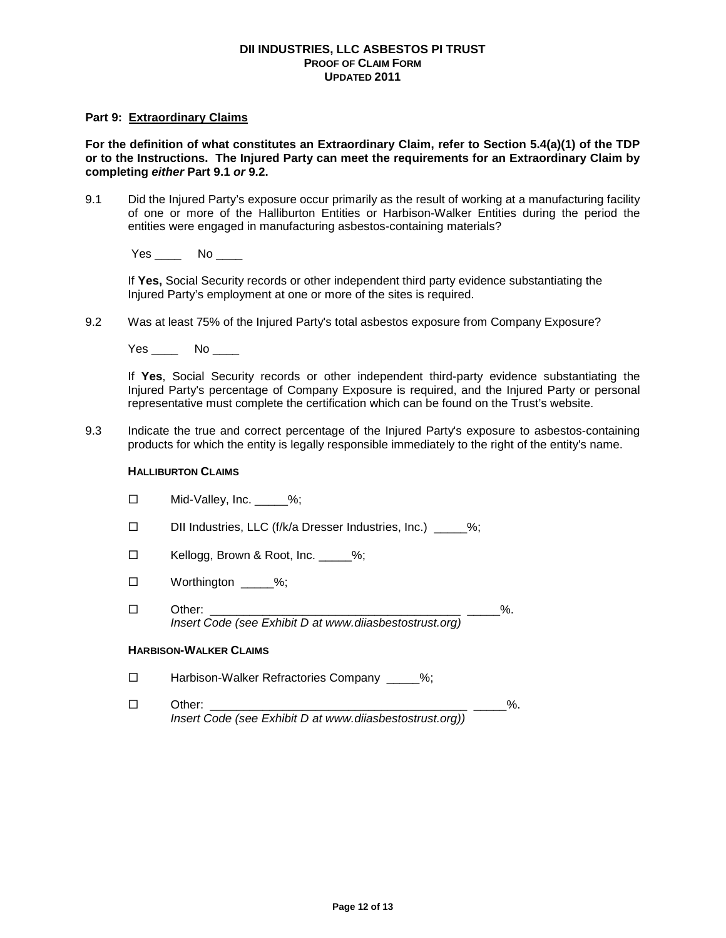# **Part 9: Extraordinary Claims**

**For the definition of what constitutes an Extraordinary Claim, refer to Section 5.4(a)(1) of the TDP or to the Instructions. The Injured Party can meet the requirements for an Extraordinary Claim by completing** *either* **Part 9.1** *or* **9.2.** 

9.1 Did the Injured Party's exposure occur primarily as the result of working at a manufacturing facility of one or more of the Halliburton Entities or Harbison-Walker Entities during the period the entities were engaged in manufacturing asbestos-containing materials?

Yes \_\_\_\_\_ No \_\_\_\_

If **Yes,** Social Security records or other independent third party evidence substantiating the Injured Party's employment at one or more of the sites is required.

9.2 Was at least 75% of the Injured Party's total asbestos exposure from Company Exposure?

Yes \_\_\_\_\_ No \_\_\_\_

If **Yes**, Social Security records or other independent third-party evidence substantiating the Injured Party's percentage of Company Exposure is required, and the Injured Party or personal representative must complete the certification which can be found on the Trust's website.

9.3 Indicate the true and correct percentage of the Injured Party's exposure to asbestos-containing products for which the entity is legally responsible immediately to the right of the entity's name.

#### **HALLIBURTON CLAIMS**

| Mid-Valley, Inc.<br>□ | $-\frac{9}{6}$ |
|-----------------------|----------------|
|-----------------------|----------------|

- □ DII Industries, LLC (f/k/a Dresser Industries, Inc.) \_\_\_\_%;
- □ Kellogg, Brown & Root, Inc. \_\_\_\_\_%;
- $\square$  Worthington %;
- Other: \_\_\_\_\_\_\_\_\_\_\_\_\_\_\_\_\_\_\_\_\_\_\_\_\_\_\_\_\_\_\_\_\_\_\_\_\_\_ \_\_\_\_\_%. *Insert Code (see Exhibit D at www.diiasbestostrust.org)*

# **HARBISON-WALKER CLAIMS**

- □ Harbison-Walker Refractories Company \_\_\_\_\_%;
- Other: \_\_\_\_\_\_\_\_\_\_\_\_\_\_\_\_\_\_\_\_\_\_\_\_\_\_\_\_\_\_\_\_\_\_\_\_\_\_\_ \_\_\_\_\_%. *Insert Code (see Exhibit D at www.diiasbestostrust.org))*